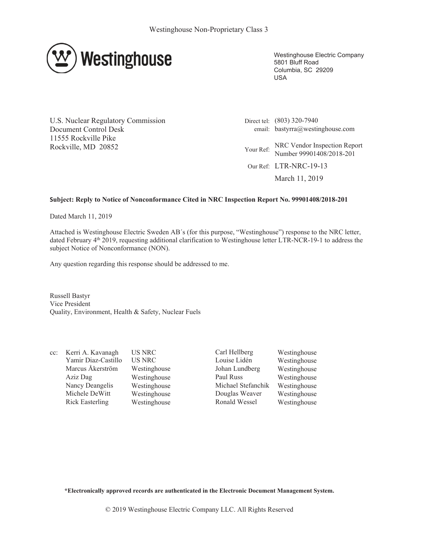

Westinghouse Electric Company 5801 Bluff Road Columbia, SC 29209 USA

U.S. Nuclear Regulatory Commission Document Control Desk 11555 Rockville Pike Rockville, MD 20852

Direct tel: (803) 320-7940 email: bastyrra@westinghouse.com Your Ref: NRC Vendor Inspection Report Number 99901408/2018-201 Our Ref: LTR-NRC-19-13 March 11, 2019

## **Subject: Reply to Notice of Nonconformance Cited in NRC Inspection Report No. 99901408/2018-201**

Dated March 11, 2019

Attached is Westinghouse Electric Sweden AB´s (for this purpose, "Westinghouse") response to the NRC letter, dated February 4<sup>th</sup> 2019, requesting additional clarification to Westinghouse letter LTR-NCR-19-1 to address the subject Notice of Nonconformance (NON).

Any question regarding this response should be addressed to me.

Russell Bastyr Vice President Quality, Environment, Health & Safety, Nuclear Fuels

cc: Kerri A. Kavanagh US NRC Carl Hellberg Westinghouse

Yamir Diaz-Castillo US NRC Louise Lidén Westinghouse Marcus Åkerström Westinghouse Johan Lundberg Westinghouse Aziz Dag Westinghouse Paul Russ Westinghouse Nancy Deangelis Westinghouse Michael Stefanchik Westinghouse Michele DeWitt Westinghouse Douglas Weaver Westinghouse Rick Easterling Westinghouse Ronald Wessel Westinghouse

**\*Electronically approved records are authenticated in the Electronic Document Management System.**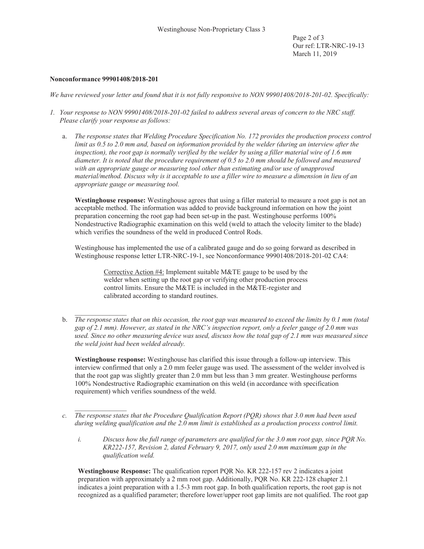## **Nonconformance 99901408/2018-201**

 $\mathcal{L}=\mathcal{L}^{\mathcal{L}}$ 

*We have reviewed your letter and found that it is not fully responsive to NON 99901408/2018-201-02. Specifically:*

- *1. Your response to NON 99901408/2018-201-02 failed to address several areas of concern to the NRC staff. Please clarify your response as follows:*
	- a. *The response states that Welding Procedure Specification No. 172 provides the production process control limit as 0.5 to 2.0 mm and, based on information provided by the welder (during an interview after the inspection), the root gap is normally verified by the welder by using a filler material wire of 1.6 mm diameter. It is noted that the procedure requirement of 0.5 to 2.0 mm should be followed and measured with an appropriate gauge or measuring tool other than estimating and/or use of unapproved material/method. Discuss why is it acceptable to use a filler wire to measure a dimension in lieu of an appropriate gauge or measuring tool.*

**Westinghouse response:** Westinghouse agrees that using a filler material to measure a root gap is not an acceptable method. The information was added to provide background information on how the joint preparation concerning the root gap had been set-up in the past. Westinghouse performs 100% Nondestructive Radiographic examination on this weld (weld to attach the velocity limiter to the blade) which verifies the soundness of the weld in produced Control Rods.

Westinghouse has implemented the use of a calibrated gauge and do so going forward as described in Westinghouse response letter LTR-NRC-19-1, see Nonconformance 99901408/2018-201-02 CA4:

> Corrective Action #4: Implement suitable M&TE gauge to be used by the welder when setting up the root gap or verifying other production process control limits. Ensure the M&TE is included in the M&TE-register and calibrated according to standard routines.

b. *The response states that on this occasion, the root gap was measured to exceed the limits by 0.1 mm (total gap of 2.1 mm). However, as stated in the NRC's inspection report, only a feeler gauge of 2.0 mm was used. Since no other measuring device was used, discuss how the total gap of 2.1 mm was measured since the weld joint had been welded already.*

**Westinghouse response:** Westinghouse has clarified this issue through a follow-up interview. This interview confirmed that only a 2.0 mm feeler gauge was used. The assessment of the welder involved is that the root gap was slightly greater than 2.0 mm but less than 3 mm greater. Westinghouse performs 100% Nondestructive Radiographic examination on this weld (in accordance with specification requirement) which verifies soundness of the weld.

- $\mathcal{L}=\mathcal{L}^{\mathcal{L}}$ *c. The response states that the Procedure Qualification Report (PQR) shows that 3.0 mm had been used during welding qualification and the 2.0 mm limit is established as a production process control limit.*
	- *i. Discuss how the full range of parameters are qualified for the 3.0 mm root gap, since PQR No. KR222-157, Revision 2, dated February 9, 2017, only used 2.0 mm maximum gap in the qualification weld.*

**Westinghouse Response:** The qualification report PQR No. KR 222-157 rev 2 indicates a joint preparation with approximately a 2 mm root gap. Additionally, PQR No. KR 222-128 chapter 2.1 indicates a joint preparation with a 1.5-3 mm root gap. In both qualification reports, the root gap is not recognized as a qualified parameter; therefore lower/upper root gap limits are not qualified. The root gap